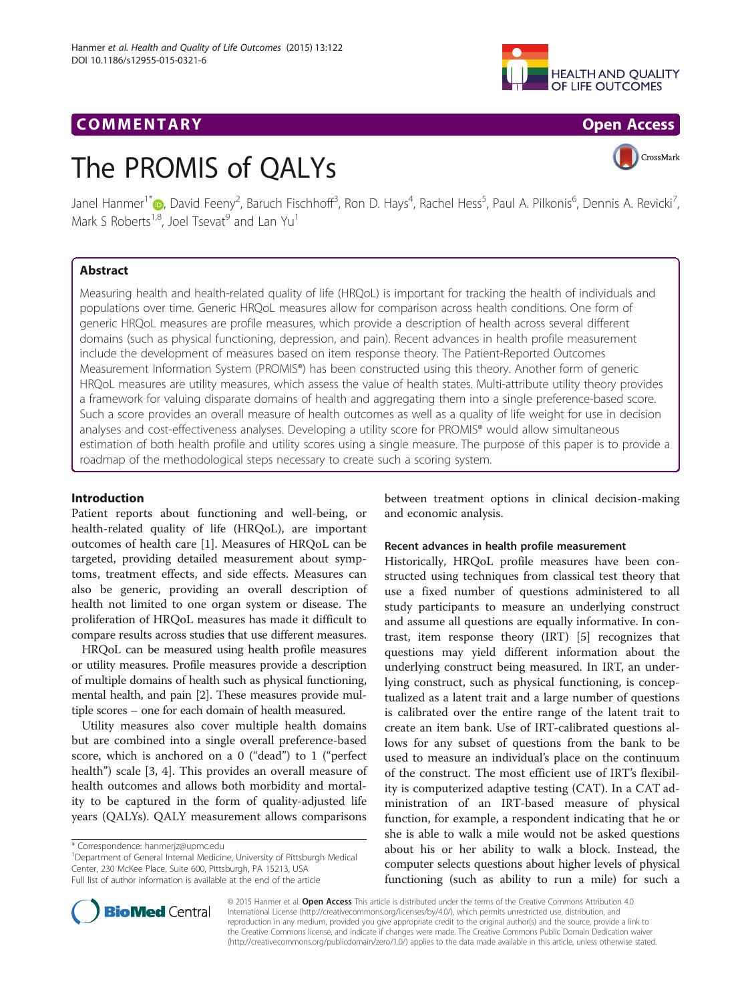## COMM EN TARY Open Access

# The PROMIS of QALYs

**HEALTH AND OUALITY** OF LIFE OUTCOMES



Janel Hanmer<sup>1\*</sup>�[,](http://orcid.org/0000-0001-6159-2482) David Feeny<sup>2</sup>, Baruch Fischhoff<sup>3</sup>, Ron D. Hays<sup>4</sup>, Rachel Hess<sup>5</sup>, Paul A. Pilkonis<sup>6</sup>, Dennis A. Revicki<sup>7</sup> , Mark S Roberts<sup>1,8</sup>, Joel Tsevat<sup>9</sup> and Lan Yu<sup>1</sup>

## Abstract

Measuring health and health-related quality of life (HRQoL) is important for tracking the health of individuals and populations over time. Generic HRQoL measures allow for comparison across health conditions. One form of generic HRQoL measures are profile measures, which provide a description of health across several different domains (such as physical functioning, depression, and pain). Recent advances in health profile measurement include the development of measures based on item response theory. The Patient-Reported Outcomes Measurement Information System (PROMIS®) has been constructed using this theory. Another form of generic HRQoL measures are utility measures, which assess the value of health states. Multi-attribute utility theory provides a framework for valuing disparate domains of health and aggregating them into a single preference-based score. Such a score provides an overall measure of health outcomes as well as a quality of life weight for use in decision analyses and cost-effectiveness analyses. Developing a utility score for PROMIS® would allow simultaneous estimation of both health profile and utility scores using a single measure. The purpose of this paper is to provide a roadmap of the methodological steps necessary to create such a scoring system.

## Introduction

Patient reports about functioning and well-being, or health-related quality of life (HRQoL), are important outcomes of health care [\[1\]](#page-2-0). Measures of HRQoL can be targeted, providing detailed measurement about symptoms, treatment effects, and side effects. Measures can also be generic, providing an overall description of health not limited to one organ system or disease. The proliferation of HRQoL measures has made it difficult to compare results across studies that use different measures.

HRQoL can be measured using health profile measures or utility measures. Profile measures provide a description of multiple domains of health such as physical functioning, mental health, and pain [\[2\]](#page-2-0). These measures provide multiple scores – one for each domain of health measured.

Utility measures also cover multiple health domains but are combined into a single overall preference-based score, which is anchored on a 0 ("dead") to 1 ("perfect health") scale [[3, 4](#page-2-0)]. This provides an overall measure of health outcomes and allows both morbidity and mortality to be captured in the form of quality-adjusted life years (QALYs). QALY measurement allows comparisons

<sup>1</sup>Department of General Internal Medicine, University of Pittsburgh Medical Center, 230 McKee Place, Suite 600, Pittsburgh, PA 15213, USA Full list of author information is available at the end of the article

between treatment options in clinical decision-making and economic analysis.

## Recent advances in health profile measurement

Historically, HRQoL profile measures have been constructed using techniques from classical test theory that use a fixed number of questions administered to all study participants to measure an underlying construct and assume all questions are equally informative. In contrast, item response theory (IRT) [[5\]](#page-2-0) recognizes that questions may yield different information about the underlying construct being measured. In IRT, an underlying construct, such as physical functioning, is conceptualized as a latent trait and a large number of questions is calibrated over the entire range of the latent trait to create an item bank. Use of IRT-calibrated questions allows for any subset of questions from the bank to be used to measure an individual's place on the continuum of the construct. The most efficient use of IRT's flexibility is computerized adaptive testing (CAT). In a CAT administration of an IRT-based measure of physical function, for example, a respondent indicating that he or she is able to walk a mile would not be asked questions about his or her ability to walk a block. Instead, the computer selects questions about higher levels of physical functioning (such as ability to run a mile) for such a



© 2015 Hanmer et al. Open Access This article is distributed under the terms of the Creative Commons Attribution 4.0 International License [\(http://creativecommons.org/licenses/by/4.0/](http://creativecommons.org/licenses/by/4.0/)), which permits unrestricted use, distribution, and reproduction in any medium, provided you give appropriate credit to the original author(s) and the source, provide a link to the Creative Commons license, and indicate if changes were made. The Creative Commons Public Domain Dedication waiver [\(http://creativecommons.org/publicdomain/zero/1.0/](http://creativecommons.org/publicdomain/zero/1.0/)) applies to the data made available in this article, unless otherwise stated.

<sup>\*</sup> Correspondence: [hanmerjz@upmc.edu](mailto:hanmerjz@upmc.edu) <sup>1</sup>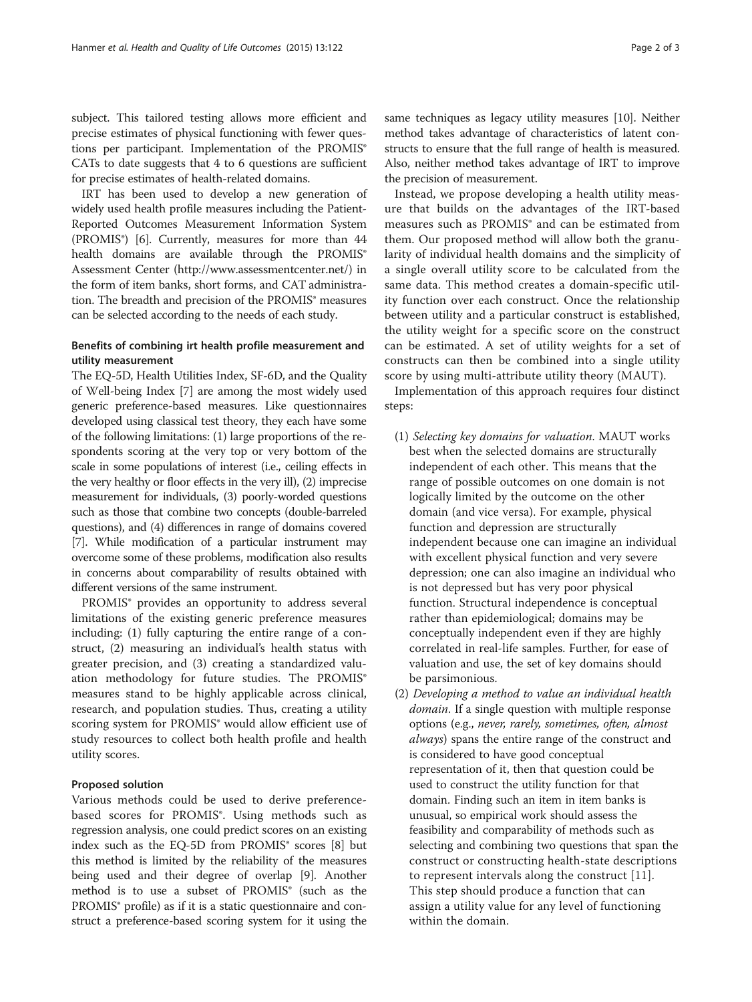subject. This tailored testing allows more efficient and precise estimates of physical functioning with fewer questions per participant. Implementation of the PROMIS® CATs to date suggests that 4 to 6 questions are sufficient for precise estimates of health-related domains.

IRT has been used to develop a new generation of widely used health profile measures including the Patient-Reported Outcomes Measurement Information System (PROMIS®) [\[6](#page-2-0)]. Currently, measures for more than 44 health domains are available through the PROMIS® Assessment Center (<http://www.assessmentcenter.net/>) in the form of item banks, short forms, and CAT administration. The breadth and precision of the PROMIS<sup>®</sup> measures can be selected according to the needs of each study.

## Benefits of combining irt health profile measurement and utility measurement

The EQ-5D, Health Utilities Index, SF-6D, and the Quality of Well-being Index [\[7](#page-2-0)] are among the most widely used generic preference-based measures. Like questionnaires developed using classical test theory, they each have some of the following limitations: (1) large proportions of the respondents scoring at the very top or very bottom of the scale in some populations of interest (i.e., ceiling effects in the very healthy or floor effects in the very ill), (2) imprecise measurement for individuals, (3) poorly-worded questions such as those that combine two concepts (double-barreled questions), and (4) differences in range of domains covered [[7](#page-2-0)]. While modification of a particular instrument may overcome some of these problems, modification also results in concerns about comparability of results obtained with different versions of the same instrument.

PROMIS® provides an opportunity to address several limitations of the existing generic preference measures including: (1) fully capturing the entire range of a construct, (2) measuring an individual's health status with greater precision, and (3) creating a standardized valuation methodology for future studies. The PROMIS® measures stand to be highly applicable across clinical, research, and population studies. Thus, creating a utility scoring system for PROMIS® would allow efficient use of study resources to collect both health profile and health utility scores.

## Proposed solution

Various methods could be used to derive preferencebased scores for PROMIS®. Using methods such as regression analysis, one could predict scores on an existing index such as the EQ-5D from PROMIS® scores [\[8\]](#page-2-0) but this method is limited by the reliability of the measures being used and their degree of overlap [[9\]](#page-2-0). Another method is to use a subset of PROMIS® (such as the PROMIS® profile) as if it is a static questionnaire and construct a preference-based scoring system for it using the

same techniques as legacy utility measures [\[10\]](#page-2-0). Neither method takes advantage of characteristics of latent constructs to ensure that the full range of health is measured. Also, neither method takes advantage of IRT to improve the precision of measurement.

Instead, we propose developing a health utility measure that builds on the advantages of the IRT-based measures such as PROMIS® and can be estimated from them. Our proposed method will allow both the granularity of individual health domains and the simplicity of a single overall utility score to be calculated from the same data. This method creates a domain-specific utility function over each construct. Once the relationship between utility and a particular construct is established, the utility weight for a specific score on the construct can be estimated. A set of utility weights for a set of constructs can then be combined into a single utility score by using multi-attribute utility theory (MAUT).

Implementation of this approach requires four distinct steps:

- (1) Selecting key domains for valuation. MAUT works best when the selected domains are structurally independent of each other. This means that the range of possible outcomes on one domain is not logically limited by the outcome on the other domain (and vice versa). For example, physical function and depression are structurally independent because one can imagine an individual with excellent physical function and very severe depression; one can also imagine an individual who is not depressed but has very poor physical function. Structural independence is conceptual rather than epidemiological; domains may be conceptually independent even if they are highly correlated in real-life samples. Further, for ease of valuation and use, the set of key domains should be parsimonious.
- (2) Developing a method to value an individual health domain. If a single question with multiple response options (e.g., never, rarely, sometimes, often, almost always) spans the entire range of the construct and is considered to have good conceptual representation of it, then that question could be used to construct the utility function for that domain. Finding such an item in item banks is unusual, so empirical work should assess the feasibility and comparability of methods such as selecting and combining two questions that span the construct or constructing health-state descriptions to represent intervals along the construct [[11](#page-2-0)]. This step should produce a function that can assign a utility value for any level of functioning within the domain.